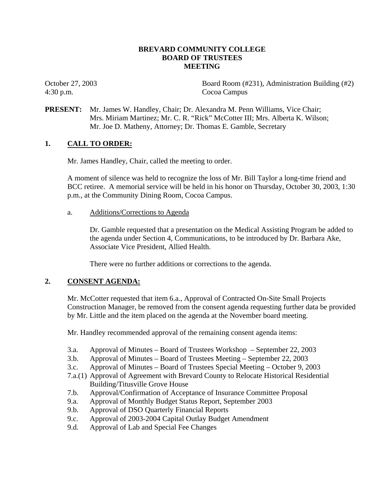## **BREVARD COMMUNITY COLLEGE BOARD OF TRUSTEES MEETING**

4:30 p.m. Cocoa Campus

October 27, 2003 Board Room (#231), Administration Building (#2)

**PRESENT:** Mr. James W. Handley, Chair; Dr. Alexandra M. Penn Williams, Vice Chair; Mrs. Miriam Martinez; Mr. C. R. "Rick" McCotter III; Mrs. Alberta K. Wilson; Mr. Joe D. Matheny, Attorney; Dr. Thomas E. Gamble, Secretary

# **1. CALL TO ORDER:**

Mr. James Handley, Chair, called the meeting to order.

A moment of silence was held to recognize the loss of Mr. Bill Taylor a long-time friend and BCC retiree. A memorial service will be held in his honor on Thursday, October 30, 2003, 1:30 p.m., at the Community Dining Room, Cocoa Campus.

a. Additions/Corrections to Agenda

Dr. Gamble requested that a presentation on the Medical Assisting Program be added to the agenda under Section 4, Communications, to be introduced by Dr. Barbara Ake, Associate Vice President, Allied Health.

There were no further additions or corrections to the agenda.

# **2. CONSENT AGENDA:**

Mr. McCotter requested that item 6.a., Approval of Contracted On-Site Small Projects Construction Manager, be removed from the consent agenda requesting further data be provided by Mr. Little and the item placed on the agenda at the November board meeting.

Mr. Handley recommended approval of the remaining consent agenda items:

- 3.a. Approval of Minutes Board of Trustees Workshop September 22, 2003
- 3.b. Approval of Minutes Board of Trustees Meeting September 22, 2003
- 3.c. Approval of Minutes Board of Trustees Special Meeting October 9, 2003
- 7.a.(1) Approval of Agreement with Brevard County to Relocate Historical Residential Building/Titusville Grove House
- 7.b. Approval/Confirmation of Acceptance of Insurance Committee Proposal
- 9.a. Approval of Monthly Budget Status Report, September 2003
- 9.b. Approval of DSO Quarterly Financial Reports
- 9.c. Approval of 2003-2004 Capital Outlay Budget Amendment
- 9.d. Approval of Lab and Special Fee Changes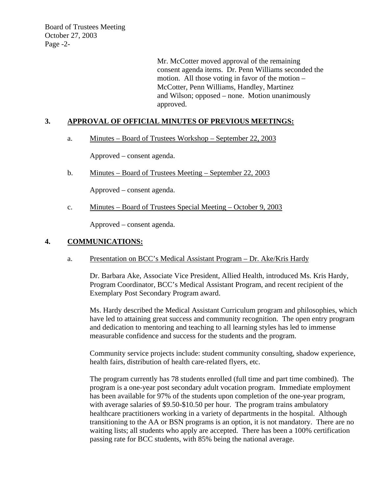Board of Trustees Meeting October 27, 2003 Page -2-

> Mr. McCotter moved approval of the remaining consent agenda items. Dr. Penn Williams seconded the motion. All those voting in favor of the motion – McCotter, Penn Williams, Handley, Martinez and Wilson; opposed – none. Motion unanimously approved.

## **3. APPROVAL OF OFFICIAL MINUTES OF PREVIOUS MEETINGS:**

### a. Minutes – Board of Trustees Workshop – September 22, 2003

Approved – consent agenda.

b. Minutes – Board of Trustees Meeting – September 22, 2003

Approved – consent agenda.

c. Minutes – Board of Trustees Special Meeting – October 9, 2003

Approved – consent agenda.

#### **4. COMMUNICATIONS:**

### a. Presentation on BCC's Medical Assistant Program – Dr. Ake/Kris Hardy

Dr. Barbara Ake, Associate Vice President, Allied Health, introduced Ms. Kris Hardy, Program Coordinator, BCC's Medical Assistant Program, and recent recipient of the Exemplary Post Secondary Program award.

Ms. Hardy described the Medical Assistant Curriculum program and philosophies, which have led to attaining great success and community recognition. The open entry program and dedication to mentoring and teaching to all learning styles has led to immense measurable confidence and success for the students and the program.

Community service projects include: student community consulting, shadow experience, health fairs, distribution of health care-related flyers, etc.

The program currently has 78 students enrolled (full time and part time combined). The program is a one-year post secondary adult vocation program. Immediate employment has been available for 97% of the students upon completion of the one-year program, with average salaries of \$9.50-\$10.50 per hour. The program trains ambulatory healthcare practitioners working in a variety of departments in the hospital. Although transitioning to the AA or BSN programs is an option, it is not mandatory. There are no waiting lists; all students who apply are accepted. There has been a 100% certification passing rate for BCC students, with 85% being the national average.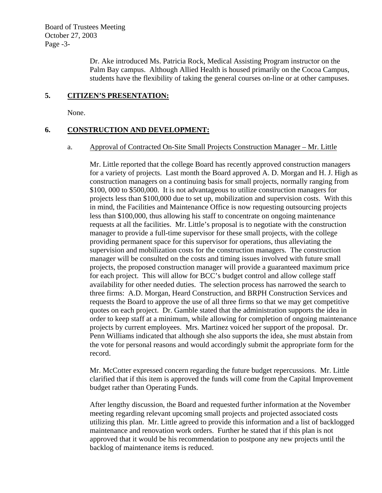Board of Trustees Meeting October 27, 2003 Page -3-

> Dr. Ake introduced Ms. Patricia Rock, Medical Assisting Program instructor on the Palm Bay campus. Although Allied Health is housed primarily on the Cocoa Campus, students have the flexibility of taking the general courses on-line or at other campuses.

### **5. CITIZEN'S PRESENTATION:**

None.

## **6. CONSTRUCTION AND DEVELOPMENT:**

#### a. Approval of Contracted On-Site Small Projects Construction Manager – Mr. Little

Mr. Little reported that the college Board has recently approved construction managers for a variety of projects. Last month the Board approved A. D. Morgan and H. J. High as construction managers on a continuing basis for small projects, normally ranging from \$100, 000 to \$500,000. It is not advantageous to utilize construction managers for projects less than \$100,000 due to set up, mobilization and supervision costs. With this in mind, the Facilities and Maintenance Office is now requesting outsourcing projects less than \$100,000, thus allowing his staff to concentrate on ongoing maintenance requests at all the facilities. Mr. Little's proposal is to negotiate with the construction manager to provide a full-time supervisor for these small projects, with the college providing permanent space for this supervisor for operations, thus alleviating the supervision and mobilization costs for the construction managers. The construction manager will be consulted on the costs and timing issues involved with future small projects, the proposed construction manager will provide a guaranteed maximum price for each project. This will allow for BCC's budget control and allow college staff availability for other needed duties. The selection process has narrowed the search to three firms: A.D. Morgan, Heard Construction, and BRPH Construction Services and requests the Board to approve the use of all three firms so that we may get competitive quotes on each project. Dr. Gamble stated that the administration supports the idea in order to keep staff at a minimum, while allowing for completion of ongoing maintenance projects by current employees. Mrs. Martinez voiced her support of the proposal. Dr. Penn Williams indicated that although she also supports the idea, she must abstain from the vote for personal reasons and would accordingly submit the appropriate form for the record.

Mr. McCotter expressed concern regarding the future budget repercussions. Mr. Little clarified that if this item is approved the funds will come from the Capital Improvement budget rather than Operating Funds.

After lengthy discussion, the Board and requested further information at the November meeting regarding relevant upcoming small projects and projected associated costs utilizing this plan. Mr. Little agreed to provide this information and a list of backlogged maintenance and renovation work orders. Further he stated that if this plan is not approved that it would be his recommendation to postpone any new projects until the backlog of maintenance items is reduced.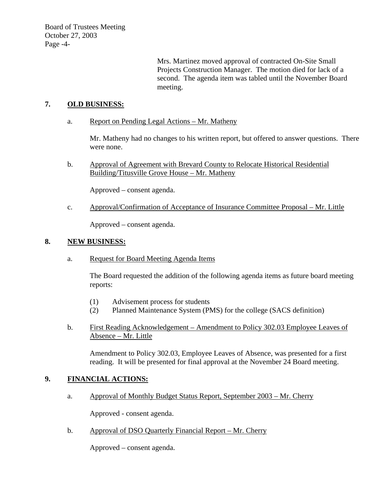Board of Trustees Meeting October 27, 2003 Page -4-

> Mrs. Martinez moved approval of contracted On-Site Small Projects Construction Manager. The motion died for lack of a second. The agenda item was tabled until the November Board meeting.

# **7. OLD BUSINESS:**

a. Report on Pending Legal Actions – Mr. Matheny

Mr. Matheny had no changes to his written report, but offered to answer questions. There were none.

b. Approval of Agreement with Brevard County to Relocate Historical Residential Building/Titusville Grove House – Mr. Matheny

Approved – consent agenda.

c. Approval/Confirmation of Acceptance of Insurance Committee Proposal – Mr. Little

Approved – consent agenda.

### **8. NEW BUSINESS:**

a. Request for Board Meeting Agenda Items

The Board requested the addition of the following agenda items as future board meeting reports:

- (1) Advisement process for students
- (2) Planned Maintenance System (PMS) for the college (SACS definition)
- b. First Reading Acknowledgement Amendment to Policy 302.03 Employee Leaves of Absence – Mr. Little

Amendment to Policy 302.03, Employee Leaves of Absence, was presented for a first reading. It will be presented for final approval at the November 24 Board meeting.

### **9. FINANCIAL ACTIONS:**

a. Approval of Monthly Budget Status Report, September 2003 – Mr. Cherry

Approved - consent agenda.

b. Approval of DSO Quarterly Financial Report – Mr. Cherry

Approved – consent agenda.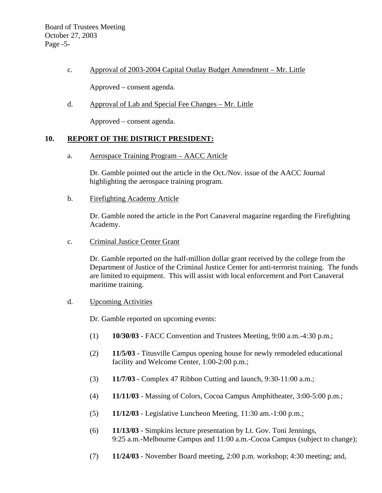c. Approval of 2003-2004 Capital Outlay Budget Amendment – Mr. Little

Approved – consent agenda.

d. Approval of Lab and Special Fee Changes – Mr. Little

Approved – consent agenda.

## **10. REPORT OF THE DISTRICT PRESIDENT:**

a. Aerospace Training Program – AACC Article

Dr. Gamble pointed out the article in the Oct./Nov. issue of the AACC Journal highlighting the aerospace training program.

b. Firefighting Academy Article

Dr. Gamble noted the article in the Port Canaveral magazine regarding the Firefighting Academy.

c. Criminal Justice Center Grant

Dr. Gamble reported on the half-million dollar grant received by the college from the Department of Justice of the Criminal Justice Center for anti-terrorist training. The funds are limited to equipment. This will assist with local enforcement and Port Canaveral maritime training.

d. Upcoming Activities

Dr. Gamble reported on upcoming events:

- (1) **10/30/03** FACC Convention and Trustees Meeting, 9:00 a.m.-4:30 p.m.;
- (2) **11/5/03** Titusville Campus opening house for newly remodeled educational facility and Welcome Center, 1:00-2:00 p.m.;
- (3) **11/7/03** Complex 47 Ribbon Cutting and launch, 9:30-11:00 a.m.;
- (4) **11/11/03** Massing of Colors, Cocoa Campus Amphitheater, 3:00-5:00 p.m.;
- (5) **11/12/03** Legislative Luncheon Meeting, 11:30 am.-1:00 p.m.;
- (6) **11/13/03** Simpkins lecture presentation by Lt. Gov. Toni Jennings, 9:25 a.m.-Melbourne Campus and 11:00 a.m.-Cocoa Campus (subject to change);
- (7) **11/24/03** November Board meeting, 2:00 p.m. workshop; 4:30 meeting; and,